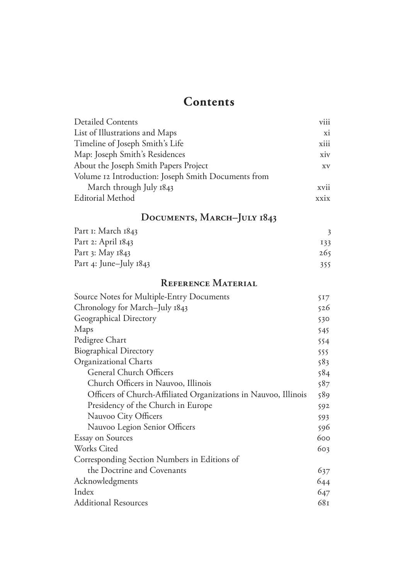## **Contents**

| <b>Detailed Contents</b>                            | viii |
|-----------------------------------------------------|------|
| List of Illustrations and Maps                      | xi   |
| Timeline of Joseph Smith's Life                     | xiii |
| Map: Joseph Smith's Residences                      | xiv  |
| About the Joseph Smith Papers Project               | XV   |
| Volume 12 Introduction: Joseph Smith Documents from |      |
| March through July 1843                             | xvii |
| <b>Editorial Method</b>                             | xxix |

## **Documents, March–July 1843**

| Part I: March 1843       |     |  |
|--------------------------|-----|--|
| Part 2: April 1843       | 133 |  |
| Part 3: May 1843         | 265 |  |
| Part 4: June-July $1843$ | 355 |  |

### **Reference Material**

| Source Notes for Multiple-Entry Documents                       | 517 |
|-----------------------------------------------------------------|-----|
| Chronology for March-July 1843                                  | 526 |
| Geographical Directory                                          | 530 |
| Maps                                                            | 545 |
| Pedigree Chart                                                  | 554 |
| <b>Biographical Directory</b>                                   | 555 |
| Organizational Charts                                           | 583 |
| General Church Officers                                         | 584 |
| Church Officers in Nauvoo, Illinois                             | 587 |
| Officers of Church-Affiliated Organizations in Nauvoo, Illinois | 589 |
| Presidency of the Church in Europe                              | 592 |
| Nauvoo City Officers                                            | 593 |
| Nauvoo Legion Senior Officers                                   | 596 |
| <b>Essay on Sources</b>                                         | 600 |
| Works Cited                                                     | 603 |
| Corresponding Section Numbers in Editions of                    |     |
| the Doctrine and Covenants                                      | 637 |
| Acknowledgments                                                 | 644 |
| Index                                                           | 647 |
| <b>Additional Resources</b>                                     | 681 |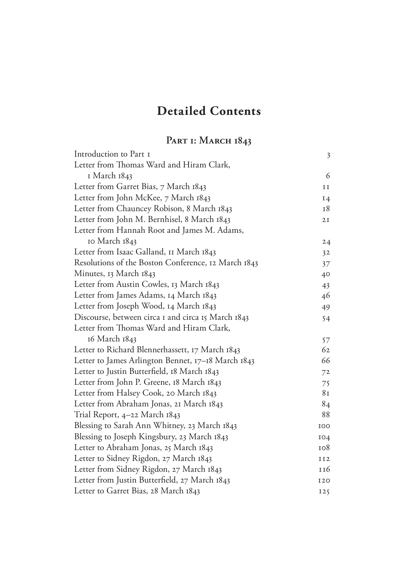# **Detailed Contents**

## **Part 1: March 1843**

| Introduction to Part I                              | $\mathfrak{Z}$ |
|-----------------------------------------------------|----------------|
| Letter from Thomas Ward and Hiram Clark,            |                |
| 1 March 1843                                        | 6              |
| Letter from Garret Bias, 7 March 1843               | II             |
| Letter from John McKee, 7 March 1843                | 14             |
| Letter from Chauncey Robison, 8 March 1843          | 18             |
| Letter from John M. Bernhisel, 8 March 1843         | 2I             |
| Letter from Hannah Root and James M. Adams,         |                |
| 10 March 1843                                       | 24             |
| Letter from Isaac Galland, 11 March 1843            | 32             |
| Resolutions of the Boston Conference, 12 March 1843 | 37             |
| Minutes, 13 March 1843                              | 40             |
| Letter from Austin Cowles, 13 March 1843            | 43             |
| Letter from James Adams, 14 March 1843              | 46             |
| Letter from Joseph Wood, 14 March 1843              | 49             |
| Discourse, between circa I and circa I5 March 1843  | 54             |
| Letter from Thomas Ward and Hiram Clark,            |                |
| 16 March 1843                                       | 57             |
| Letter to Richard Blennerhassett, 17 March 1843     | 62             |
| Letter to James Arlington Bennet, 17–18 March 1843  | 66             |
| Letter to Justin Butterfield, 18 March 1843         | 72             |
| Letter from John P. Greene, 18 March 1843           | 75             |
| Letter from Halsey Cook, 20 March 1843              | 8 <sub>I</sub> |
| Letter from Abraham Jonas, 21 March 1843            | 84             |
| Trial Report, 4–22 March 1843                       | 88             |
| Blessing to Sarah Ann Whitney, 23 March 1843        | <b>IOO</b>     |
| Blessing to Joseph Kingsbury, 23 March 1843         | 104            |
| Letter to Abraham Jonas, 25 March 1843              | 108            |
| Letter to Sidney Rigdon, 27 March 1843              | II2            |
| Letter from Sidney Rigdon, 27 March 1843            | 116            |
| Letter from Justin Butterfield, 27 March 1843       | <b>I20</b>     |
| Letter to Garret Bias, 28 March 1843                | 125            |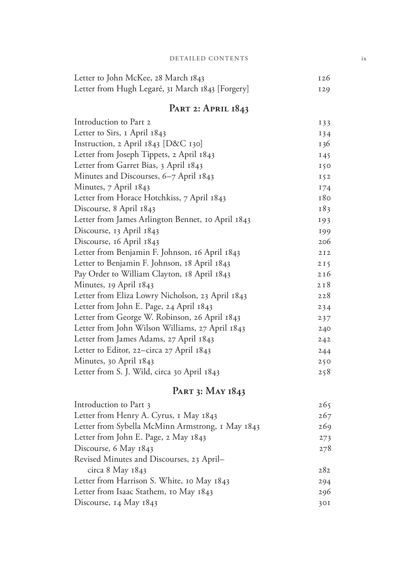#### DETAILED CONTENTS ix

| Letter to John McKee, 28 March 1843              | 126             |
|--------------------------------------------------|-----------------|
| Letter from Hugh Legaré, 31 March 1843 [Forgery] | I <sub>29</sub> |

#### **Part 2: April 1843**

| Introduction to Part 2                            | 133 |
|---------------------------------------------------|-----|
| Letter to Sirs, I April 1843                      | 134 |
| Instruction, 2 April 1843 [D&C 130]               | 136 |
| Letter from Joseph Tippets, 2 April 1843          | 145 |
| Letter from Garret Bias, 3 April 1843             | 150 |
| Minutes and Discourses, 6–7 April 1843            | 152 |
| Minutes, 7 April 1843                             | 174 |
| Letter from Horace Hotchkiss, 7 April 1843        | 180 |
| Discourse, 8 April 1843                           | 183 |
| Letter from James Arlington Bennet, 10 April 1843 | 193 |
| Discourse, 13 April 1843                          | 199 |
| Discourse, 16 April 1843                          | 206 |
| Letter from Benjamin F. Johnson, 16 April 1843    | 2I2 |
| Letter to Benjamin F. Johnson, 18 April 1843      | 2I5 |
| Pay Order to William Clayton, 18 April 1843       | 216 |
| Minutes, 19 April 1843                            | 2I8 |
| Letter from Eliza Lowry Nicholson, 23 April 1843  | 228 |
| Letter from John E. Page, 24 April 1843           | 234 |
| Letter from George W. Robinson, 26 April 1843     | 237 |
| Letter from John Wilson Williams, 27 April 1843   | 240 |
| Letter from James Adams, 27 April 1843            | 242 |
| Letter to Editor, 22–circa 27 April 1843          | 244 |
| Minutes, 30 April 1843                            | 250 |
| Letter from S. J. Wild, circa 30 April 1843       | 258 |
|                                                   |     |

### **Part 3: May 1843**

| Introduction to Part 3                           | 265 |
|--------------------------------------------------|-----|
| Letter from Henry A. Cyrus, 1 May 1843           | 267 |
| Letter from Sybella McMinn Armstrong, 1 May 1843 | 269 |
| Letter from John E. Page, 2 May 1843             | 273 |
| Discourse, 6 May 1843                            | 278 |
| Revised Minutes and Discourses, 23 April-        |     |
| circa 8 May $1843$                               | 282 |
| Letter from Harrison S. White, 10 May 1843       | 294 |
| Letter from Isaac Stathem, 10 May 1843           | 296 |
| Discourse, 14 May 1843                           | 30I |
|                                                  |     |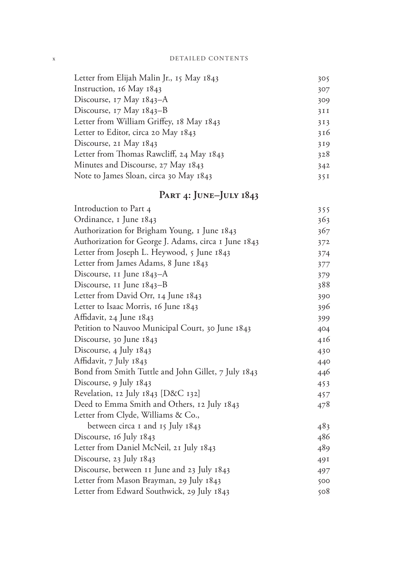| Letter from Elijah Malin Jr., 15 May 1843 | 305  |
|-------------------------------------------|------|
| Instruction, 16 May 1843                  | 307  |
| Discourse, 17 May 1843–A                  | 309  |
| Discourse, $17$ May $1843 - B$            | 3II  |
| Letter from William Griffey, 18 May 1843  | 313  |
| Letter to Editor, circa 20 May 1843       | 316  |
| Discourse, 21 May 1843                    | 319  |
| Letter from Thomas Rawcliff, 24 May 1843  | 328  |
| Minutes and Discourse, 27 May 1843        | 342  |
| Note to James Sloan, circa 30 May 1843    | 35 I |

## **Part 4: June–July 1843**

| $1 \text{ and } 4$ , $1 \text{ or } 1 \text{ or } 104$ |     |
|--------------------------------------------------------|-----|
| Introduction to Part 4                                 | 355 |
| Ordinance, I June 1843                                 | 363 |
| Authorization for Brigham Young, 1 June 1843           | 367 |
| Authorization for George J. Adams, circa 1 June 1843   | 372 |
| Letter from Joseph L. Heywood, 5 June 1843             | 374 |
| Letter from James Adams, 8 June 1843                   | 377 |
| Discourse, 11 June 1843–A                              | 379 |
| Discourse, 11 June 1843–B                              | 388 |
| Letter from David Orr, 14 June 1843                    | 390 |
| Letter to Isaac Morris, 16 June 1843                   | 396 |
| Affidavit, 24 June 1843                                | 399 |
| Petition to Nauvoo Municipal Court, 30 June 1843       | 404 |
| Discourse, 30 June 1843                                | 416 |
| Discourse, 4 July 1843                                 | 430 |
| Affidavit, 7 July 1843                                 | 440 |
| Bond from Smith Tuttle and John Gillet, 7 July 1843    | 446 |
| Discourse, 9 July 1843                                 | 453 |
| Revelation, 12 July 1843 [D&C 132]                     | 457 |
| Deed to Emma Smith and Others, 12 July 1843            | 478 |
| Letter from Clyde, Williams & Co.,                     |     |
| between circa I and 15 July 1843                       | 483 |
| Discourse, 16 July 1843                                | 486 |
| Letter from Daniel McNeil, 21 July 1843                | 489 |
| Discourse, 23 July 1843                                | 49I |
| Discourse, between 11 June and 23 July 1843            | 497 |
| Letter from Mason Brayman, 29 July 1843                | 500 |
| Letter from Edward Southwick, 29 July 1843             | 508 |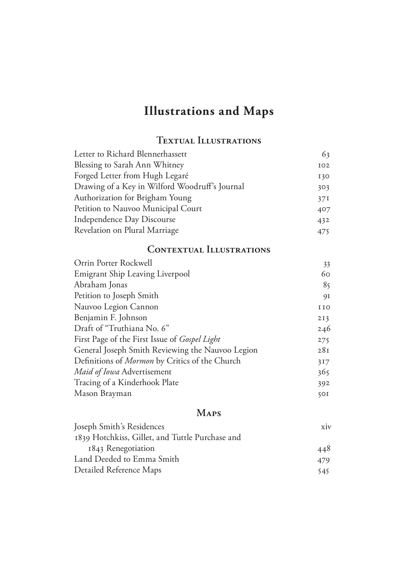# **Illustrations and Maps**

### **Textual Illustrations**

| Letter to Richard Blennerhassett               | 63  |
|------------------------------------------------|-----|
| Blessing to Sarah Ann Whitney                  | 102 |
| Forged Letter from Hugh Legaré                 | 130 |
| Drawing of a Key in Wilford Woodruff's Journal | 303 |
| Authorization for Brigham Young                | 37I |
| Petition to Nauvoo Municipal Court             | 407 |
| Independence Day Discourse                     | 432 |
| Revelation on Plural Marriage                  | 475 |

#### **Contextual Illustrations**

| 33         |
|------------|
| 60         |
| 85         |
| 91         |
| <b>IIO</b> |
| 2I3        |
| 246        |
| 275        |
| 28I        |
| 317        |
| 365        |
| 392        |
| 50I        |
|            |

#### **Maps**

| Joseph Smith's Residences                       | xiv  |
|-------------------------------------------------|------|
| 1839 Hotchkiss, Gillet, and Tuttle Purchase and |      |
| 1843 Renegotiation                              | 448  |
| Land Deeded to Emma Smith                       | 479. |
| Detailed Reference Maps                         | 545. |